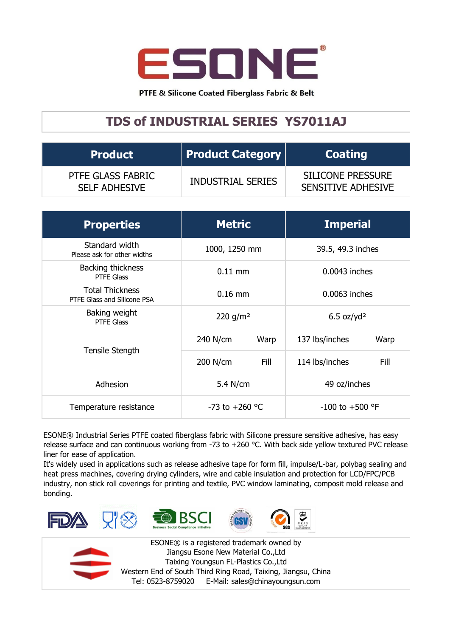

PTFE & Silicone Coated Fiberglass Fabric & Belt

## **TDS of INDUSTRIAL SERIES YS7011AJ**

| <b>Product</b>                            | <b>Product Category</b>  | <b>Coating</b>                                        |  |
|-------------------------------------------|--------------------------|-------------------------------------------------------|--|
| PTFE GLASS FABRIC<br><b>SELF ADHESIVE</b> | <b>INDUSTRIAL SERIES</b> | <b>SILICONE PRESSURE</b><br><b>SENSITIVE ADHESIVE</b> |  |

| <b>Properties</b>                                     | <b>Metric</b>        |      | <b>Imperial</b>          |      |
|-------------------------------------------------------|----------------------|------|--------------------------|------|
| Standard width<br>Please ask for other widths         | 1000, 1250 mm        |      | 39.5, 49.3 inches        |      |
| Backing thickness<br>PTFE Glass                       | $0.11$ mm            |      | 0.0043 inches            |      |
| <b>Total Thickness</b><br>PTFE Glass and Silicone PSA | $0.16$ mm            |      | 0.0063 inches            |      |
| Baking weight<br><b>PTFE Glass</b>                    | 220 g/m <sup>2</sup> |      | $6.5$ oz/yd <sup>2</sup> |      |
| Tensile Stength                                       | 240 N/cm             | Warp | 137 lbs/inches           | Warp |
|                                                       | 200 N/cm             | Fill | 114 lbs/inches           | Fill |
| Adhesion                                              | 5.4 N/cm             |      | 49 oz/inches             |      |
| Temperature resistance                                | $-73$ to $+260$ °C   |      | $-100$ to $+500$ °F      |      |

ESONE® Industrial Series PTFE coated fiberglass fabric with Silicone pressure sensitive adhesive, has easy release surface and can continuous working from -73 to +260 °C. With back side yellow textured PVC release liner for ease of application.

It's widely used in applications such as release adhesive tape for form fill, impulse/L-bar, polybag sealing and heat press machines, covering drying cylinders, wire and cable insulation and protection for LCD/FPC/PCB industry, non stick roll coverings for printing and textile, PVC window laminating, composit mold release and bonding.





ESONE® is a registered trademark owned by Jiangsu Esone New Material Co.,Ltd Taixing Youngsun FL-Plastics Co.,Ltd Western End of South Third Ring Road, Taixing, Jiangsu, China Tel: 0523-8759020 E-Mail: sales@chinayoungsun.com